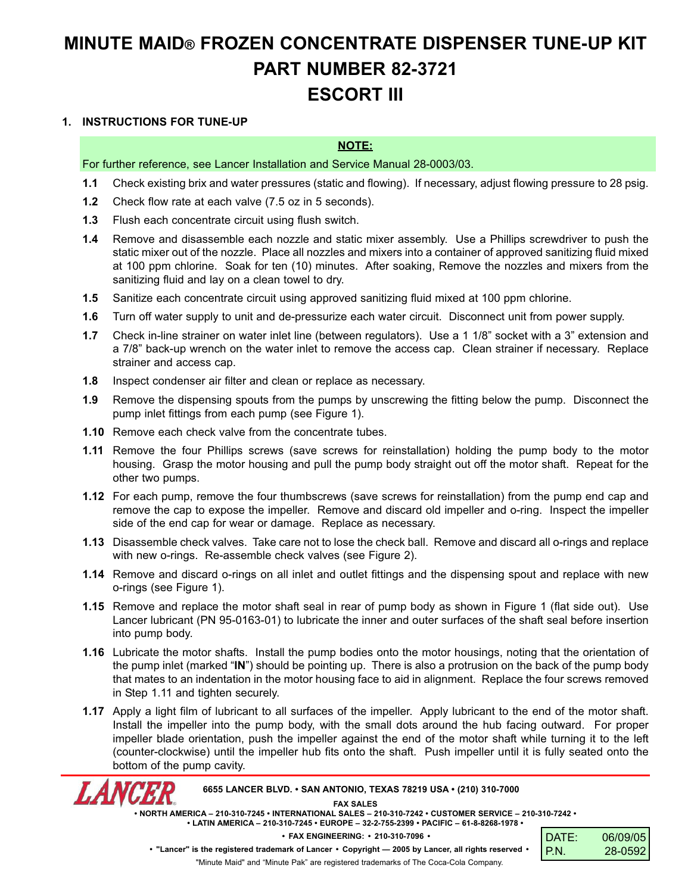## **MINUTE MAID® FROZEN CONCENTRATE DISPENSER TUNE-UP KIT PART NUMBER 82-3721 ESCORT III**

## **1. INSTRUCTIONS FOR TUNE-UP**

*LANCER* 

## **NOTE:**

For further reference, see Lancer Installation and Service Manual 28-0003/03.

- **1.1** Check existing brix and water pressures (static and flowing). If necessary, adjust flowing pressure to 28 psig.
- **1.2** Check flow rate at each valve (7.5 oz in 5 seconds).
- **1.3** Flush each concentrate circuit using flush switch.
- **1.4** Remove and disassemble each nozzle and static mixer assembly. Use a Phillips screwdriver to push the static mixer out of the nozzle. Place all nozzles and mixers into a container of approved sanitizing fluid mixed at 100 ppm chlorine. Soak for ten (10) minutes. After soaking, Remove the nozzles and mixers from the sanitizing fluid and lay on a clean towel to dry.
- **1.5** Sanitize each concentrate circuit using approved sanitizing fluid mixed at 100 ppm chlorine.
- **1.6** Turn off water supply to unit and de-pressurize each water circuit. Disconnect unit from power supply.
- **1.7** Check in-line strainer on water inlet line (between regulators). Use a 1 1/8" socket with a 3" extension and a 7/8" back-up wrench on the water inlet to remove the access cap. Clean strainer if necessary. Replace strainer and access cap.
- **1.8** Inspect condenser air filter and clean or replace as necessary.
- **1.9** Remove the dispensing spouts from the pumps by unscrewing the fitting below the pump. Disconnect the pump inlet fittings from each pump (see Figure 1).
- **1.10** Remove each check valve from the concentrate tubes.
- **1.11** Remove the four Phillips screws (save screws for reinstallation) holding the pump body to the motor housing. Grasp the motor housing and pull the pump body straight out off the motor shaft. Repeat for the other two pumps.
- **1.12** For each pump, remove the four thumbscrews (save screws for reinstallation) from the pump end cap and remove the cap to expose the impeller. Remove and discard old impeller and o-ring. Inspect the impeller side of the end cap for wear or damage. Replace as necessary.
- **1.13** Disassemble check valves. Take care not to lose the check ball. Remove and discard all o-rings and replace with new o-rings. Re-assemble check valves (see Figure 2).
- **1.14** Remove and discard o-rings on all inlet and outlet fittings and the dispensing spout and replace with new o-rings (see Figure 1).
- **1.15** Remove and replace the motor shaft seal in rear of pump body as shown in Figure 1 (flat side out). Use Lancer lubricant (PN 95-0163-01) to lubricate the inner and outer surfaces of the shaft seal before insertion into pump body.
- **1.16** Lubricate the motor shafts. Install the pump bodies onto the motor housings, noting that the orientation of the pump inlet (marked "**IN**") should be pointing up. There is also a protrusion on the back of the pump body that mates to an indentation in the motor housing face to aid in alignment. Replace the four screws removed in Step 1.11 and tighten securely.
- **1.17** Apply a light film of lubricant to all surfaces of the impeller. Apply lubricant to the end of the motor shaft. Install the impeller into the pump body, with the small dots around the hub facing outward. For proper impeller blade orientation, push the impeller against the end of the motor shaft while turning it to the left (counter-clockwise) until the impeller hub fits onto the shaft. Push impeller until it is fully seated onto the bottom of the pump cavity.

**6655 LANCER BLVD. • SAN ANTONIO, TEXAS 78219 USA • (210) 310-7000**

**FAX SALES**

**• NORTH AMERICA – 210-310-7245 • INTERNATIONAL SALES – 210-310-7242 • CUSTOMER SERVICE – 210-310-7242 • • LATIN AMERICA – 210-310-7245 • EUROPE – 32-2-755-2399 • PACIFIC – 61-8-8268-1978 •**



"Minute Maid" and "Minute Pak" are registered trademarks of The Coca-Cola Company.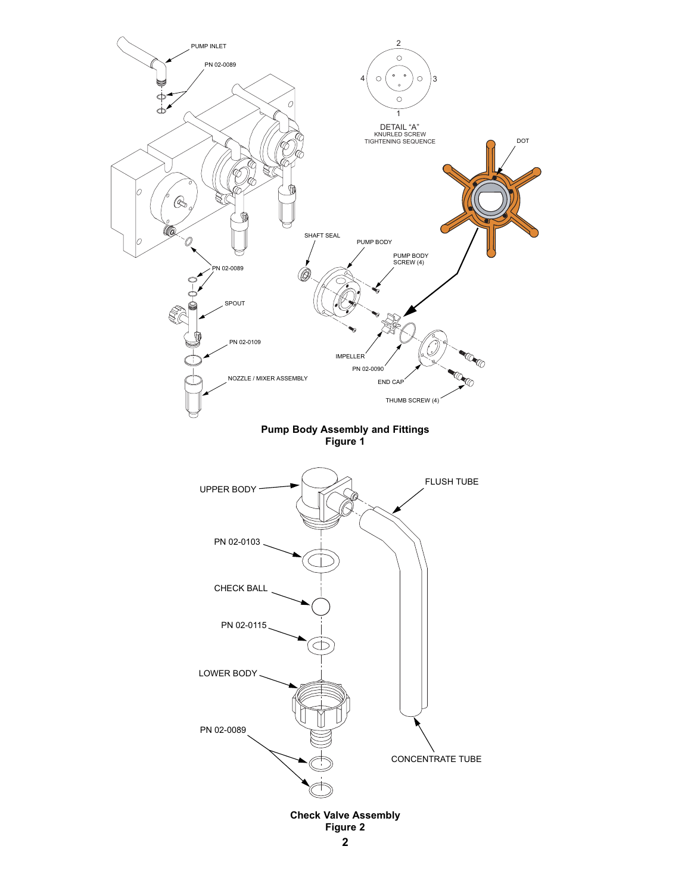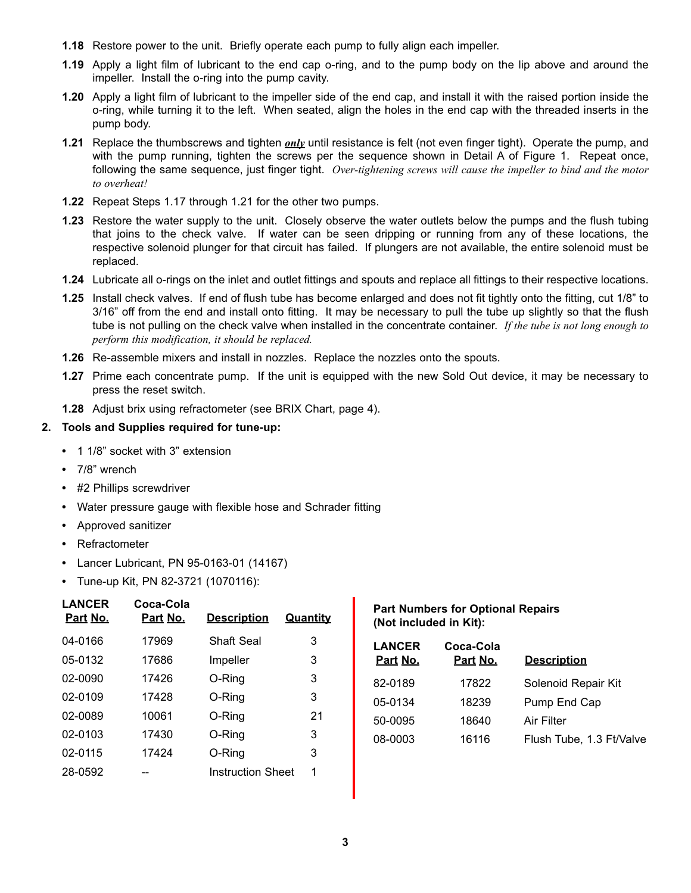- **1.18** Restore power to the unit. Briefly operate each pump to fully align each impeller.
- **1.19** Apply a light film of lubricant to the end cap o-ring, and to the pump body on the lip above and around the impeller. Install the o-ring into the pump cavity.
- **1.20** Apply a light film of lubricant to the impeller side of the end cap, and install it with the raised portion inside the o-ring, while turning it to the left. When seated, align the holes in the end cap with the threaded inserts in the pump body.
- **1.21** Replace the thumbscrews and tighten *only* until resistance is felt (not even finger tight). Operate the pump, and with the pump running, tighten the screws per the sequence shown in Detail A of Figure 1. Repeat once, following the same sequence, just finger tight. *Over-tightening screws will cause the impeller to bind and the motor to overheat!*
- **1.22** Repeat Steps 1.17 through 1.21 for the other two pumps.
- **1.23** Restore the water supply to the unit. Closely observe the water outlets below the pumps and the flush tubing that joins to the check valve. If water can be seen dripping or running from any of these locations, the respective solenoid plunger for that circuit has failed. If plungers are not available, the entire solenoid must be replaced.
- **1.24** Lubricate all o-rings on the inlet and outlet fittings and spouts and replace all fittings to their respective locations.
- **1.25** Install check valves. If end of flush tube has become enlarged and does not fit tightly onto the fitting, cut 1/8" to 3/16" off from the end and install onto fitting. It may be necessary to pull the tube up slightly so that the flush tube is not pulling on the check valve when installed in the concentrate container. *If the tube is not long enough to perform this modification, it should be replaced.*
- **1.26** Re-assemble mixers and install in nozzles. Replace the nozzles onto the spouts.
- **1.27** Prime each concentrate pump. If the unit is equipped with the new Sold Out device, it may be necessary to press the reset switch.
- **1.28** Adjust brix using refractometer (see BRIX Chart, page 4).

## **2. Tools and Supplies required for tune-up:**

- **•** 1 1/8" socket with 3" extension
- **•** 7/8" wrench
- **•** #2 Phillips screwdriver
- **•** Water pressure gauge with flexible hose and Schrader fitting
- **•** Approved sanitizer
- **•** Refractometer
- **•** Lancer Lubricant, PN 95-0163-01 (14167)
- **•** Tune-up Kit, PN 82-3721 (1070116):

| <b>LANCER</b><br>Part No. | Coca-Cola<br>Part No. | <u>Description</u>       | <b>Quantity</b> |
|---------------------------|-----------------------|--------------------------|-----------------|
| 04-0166                   | 17969                 | Shaft Seal               | 3               |
| 05-0132                   | 17686                 | Impeller                 | 3               |
| 02-0090                   | 17426                 | O-Ring                   | 3               |
| 02-0109                   | 17428                 | O-Ring                   | 3               |
| 02-0089                   | 10061                 | O-Ring                   | 21              |
| 02-0103                   | 17430                 | O-Ring                   | 3               |
| 02-0115                   | 17424                 | O-Ring                   | 3               |
| 28-0592                   |                       | <b>Instruction Sheet</b> | 1               |
|                           |                       |                          |                 |

**Part Numbers for Optional Repairs (Not included in Kit):**

| <b>LANCER</b><br>Part No. | Coca-Cola<br>Part No. | <b>Description</b>       |
|---------------------------|-----------------------|--------------------------|
| 82-0189                   | 17822                 | Solenoid Repair Kit      |
| 05-0134                   | 18239                 | Pump End Cap             |
| 50-0095                   | 18640                 | Air Filter               |
| 08-0003                   | 16116                 | Flush Tube, 1.3 Ft/Valve |
|                           |                       |                          |